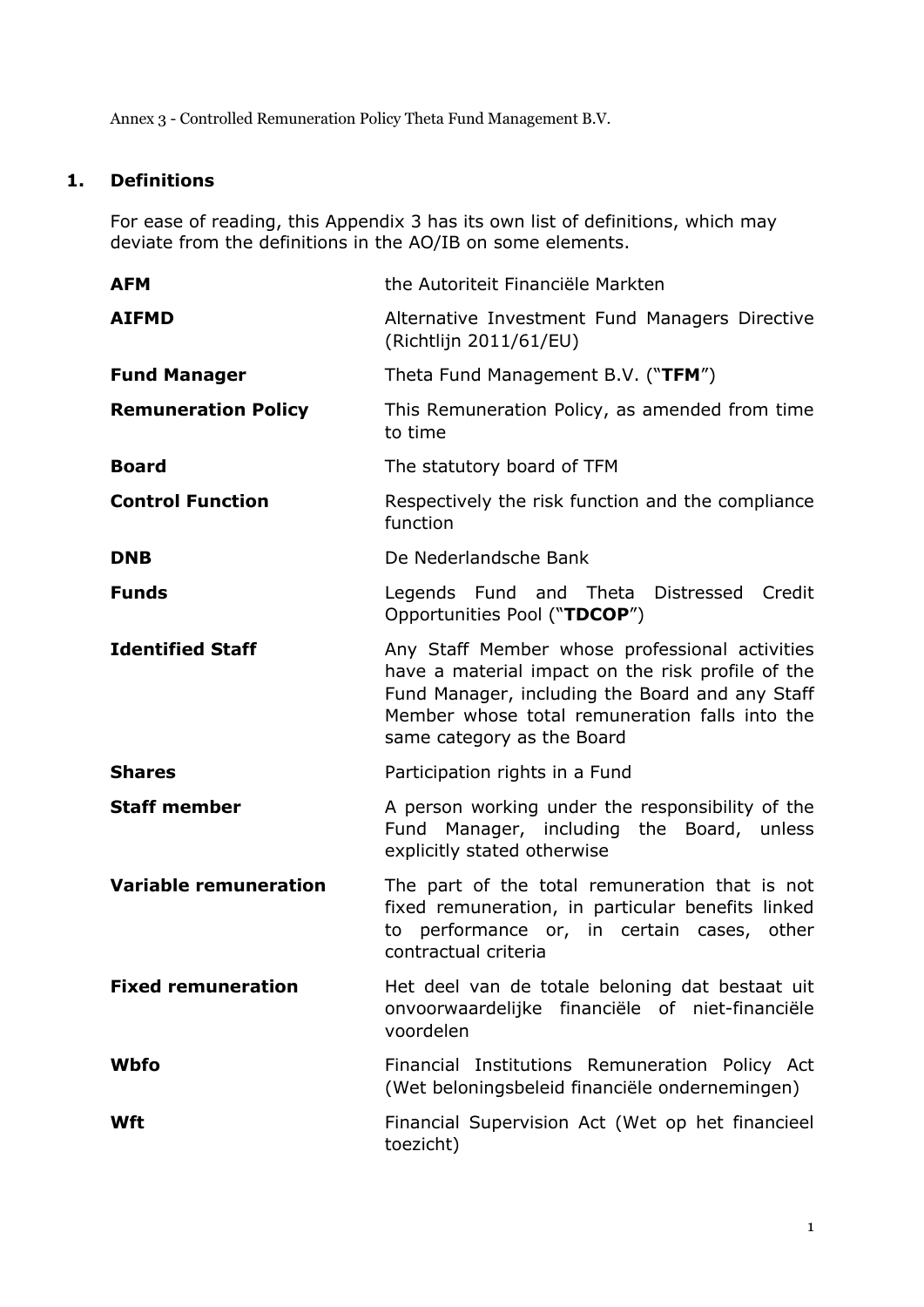Annex 3 - Controlled Remuneration Policy Theta Fund Management B.V.

# **1. Definitions**

For ease of reading, this Appendix 3 has its own list of definitions, which may deviate from the definitions in the AO/IB on some elements.

| <b>AFM</b>                   | the Autoriteit Financiële Markten                                                                                                                                                                                                      |
|------------------------------|----------------------------------------------------------------------------------------------------------------------------------------------------------------------------------------------------------------------------------------|
| <b>AIFMD</b>                 | Alternative Investment Fund Managers Directive<br>(Richtlijn 2011/61/EU)                                                                                                                                                               |
| <b>Fund Manager</b>          | Theta Fund Management B.V. ("TFM")                                                                                                                                                                                                     |
| <b>Remuneration Policy</b>   | This Remuneration Policy, as amended from time<br>to time                                                                                                                                                                              |
| <b>Board</b>                 | The statutory board of TFM                                                                                                                                                                                                             |
| <b>Control Function</b>      | Respectively the risk function and the compliance<br>function                                                                                                                                                                          |
| <b>DNB</b>                   | De Nederlandsche Bank                                                                                                                                                                                                                  |
| <b>Funds</b>                 | Legends Fund and Theta<br>Distressed<br>Credit<br>Opportunities Pool ("TDCOP")                                                                                                                                                         |
| <b>Identified Staff</b>      | Any Staff Member whose professional activities<br>have a material impact on the risk profile of the<br>Fund Manager, including the Board and any Staff<br>Member whose total remuneration falls into the<br>same category as the Board |
| <b>Shares</b>                | Participation rights in a Fund                                                                                                                                                                                                         |
| <b>Staff member</b>          | A person working under the responsibility of the<br>Fund Manager, including the Board, unless<br>explicitly stated otherwise                                                                                                           |
| <b>Variable remuneration</b> | The part of the total remuneration that is not<br>fixed remuneration, in particular benefits linked<br>performance or, in certain cases,<br>other<br>to<br>contractual criteria                                                        |
| <b>Fixed remuneration</b>    | Het deel van de totale beloning dat bestaat uit<br>onvoorwaardelijke financiële of niet-financiële<br>voordelen                                                                                                                        |
| <b>Wbfo</b>                  | Financial Institutions Remuneration Policy Act<br>(Wet beloningsbeleid financiële ondernemingen)                                                                                                                                       |
| Wft                          | Financial Supervision Act (Wet op het financieel<br>toezicht)                                                                                                                                                                          |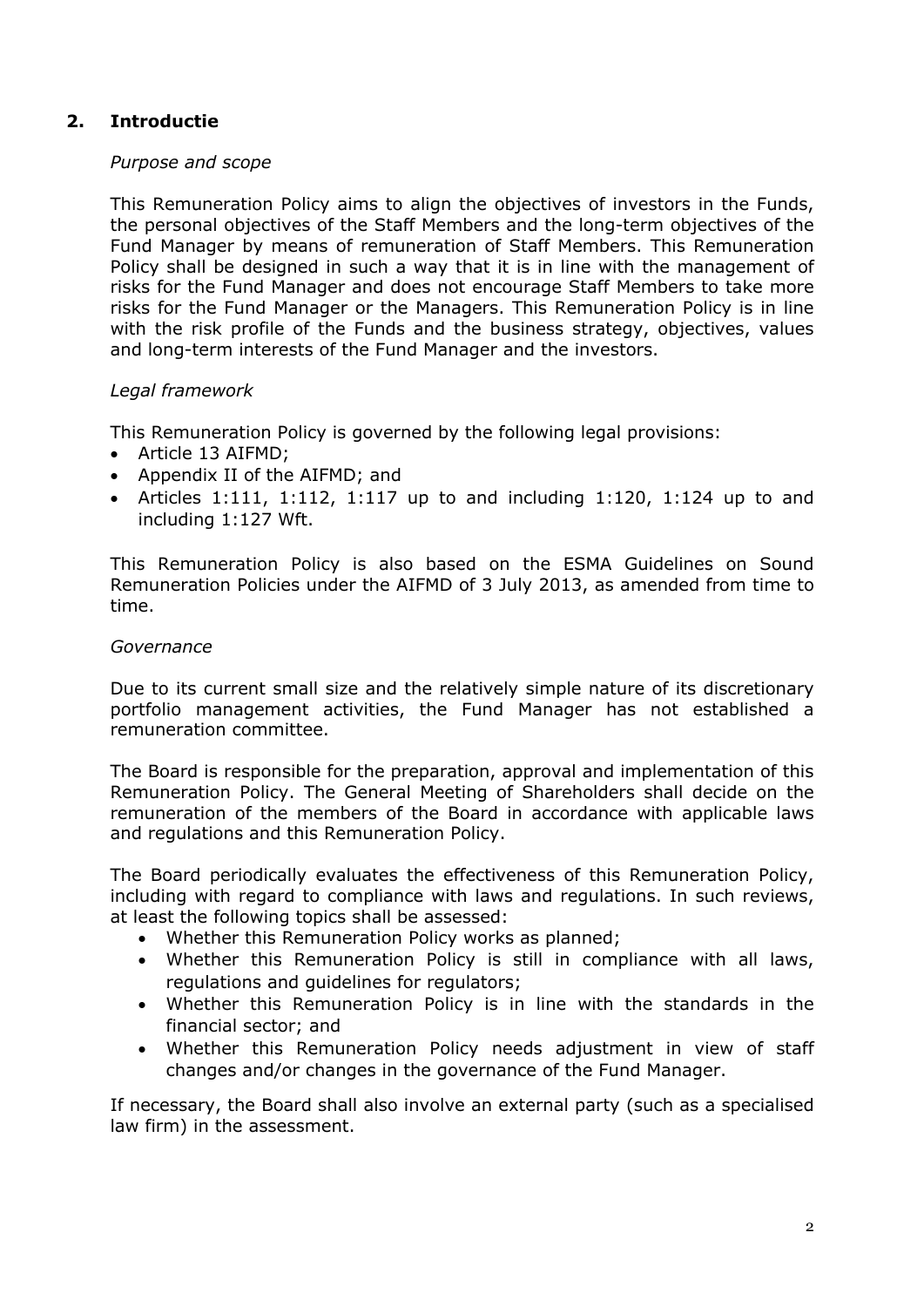## **2. Introductie**

#### *Purpose and scope*

This Remuneration Policy aims to align the objectives of investors in the Funds, the personal objectives of the Staff Members and the long-term objectives of the Fund Manager by means of remuneration of Staff Members. This Remuneration Policy shall be designed in such a way that it is in line with the management of risks for the Fund Manager and does not encourage Staff Members to take more risks for the Fund Manager or the Managers. This Remuneration Policy is in line with the risk profile of the Funds and the business strategy, objectives, values and long-term interests of the Fund Manager and the investors.

#### *Legal framework*

This Remuneration Policy is governed by the following legal provisions:

- Article 13 AIFMD;
- Appendix II of the AIFMD; and
- Articles 1:111, 1:112, 1:117 up to and including 1:120, 1:124 up to and including 1:127 Wft.

This Remuneration Policy is also based on the ESMA Guidelines on Sound Remuneration Policies under the AIFMD of 3 July 2013, as amended from time to time.

#### *Governance*

Due to its current small size and the relatively simple nature of its discretionary portfolio management activities, the Fund Manager has not established a remuneration committee.

The Board is responsible for the preparation, approval and implementation of this Remuneration Policy. The General Meeting of Shareholders shall decide on the remuneration of the members of the Board in accordance with applicable laws and regulations and this Remuneration Policy.

The Board periodically evaluates the effectiveness of this Remuneration Policy, including with regard to compliance with laws and regulations. In such reviews, at least the following topics shall be assessed:

- Whether this Remuneration Policy works as planned;
- Whether this Remuneration Policy is still in compliance with all laws, regulations and guidelines for regulators;
- Whether this Remuneration Policy is in line with the standards in the financial sector; and
- Whether this Remuneration Policy needs adjustment in view of staff changes and/or changes in the governance of the Fund Manager.

If necessary, the Board shall also involve an external party (such as a specialised law firm) in the assessment.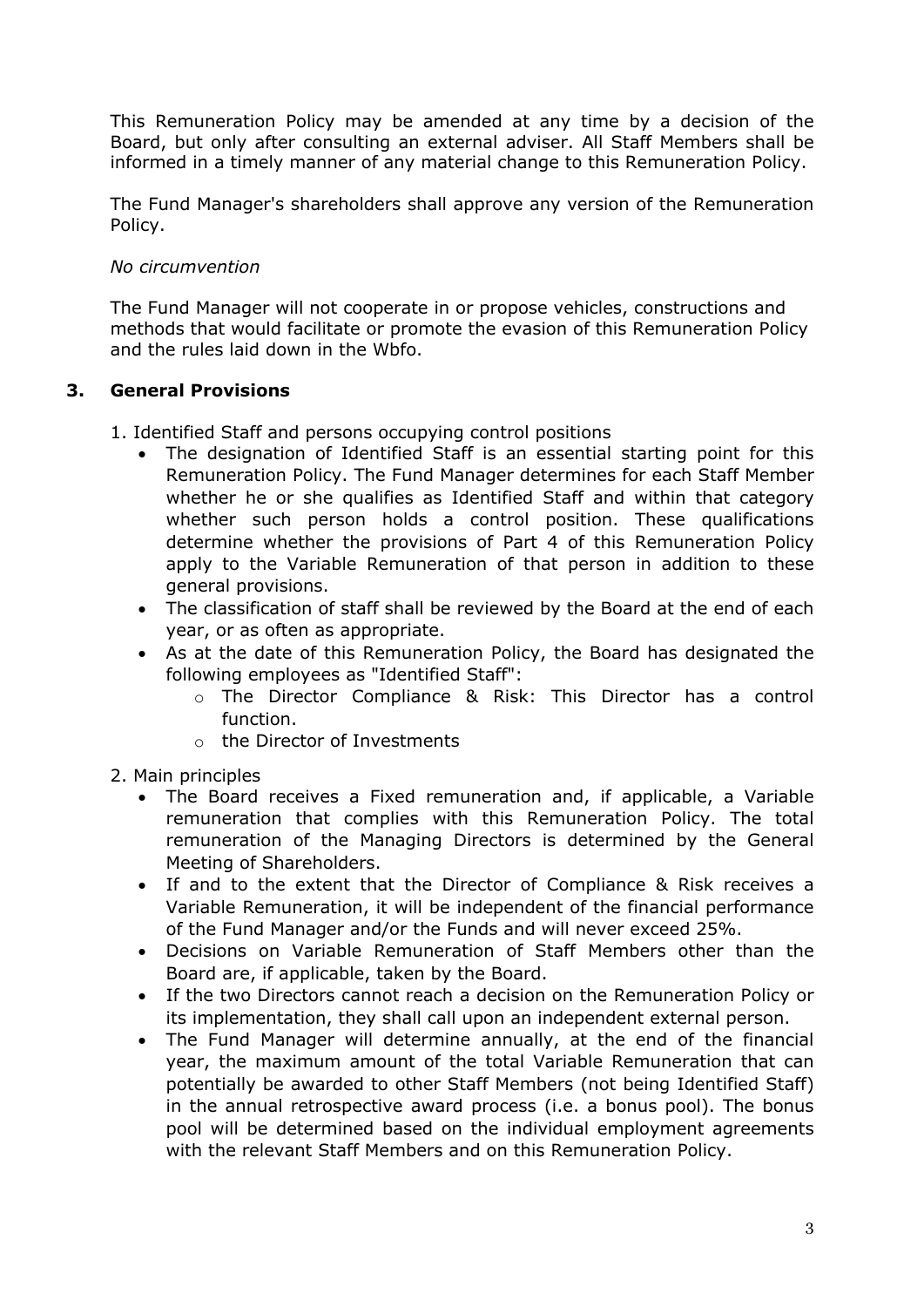This Remuneration Policy may be amended at any time by a decision of the Board, but only after consulting an external adviser. All Staff Members shall be informed in a timely manner of any material change to this Remuneration Policy.

The Fund Manager's shareholders shall approve any version of the Remuneration Policy.

### *No circumvention*

The Fund Manager will not cooperate in or propose vehicles, constructions and methods that would facilitate or promote the evasion of this Remuneration Policy and the rules laid down in the Wbfo.

### **3. General Provisions**

- 1. Identified Staff and persons occupying control positions
	- The designation of Identified Staff is an essential starting point for this Remuneration Policy. The Fund Manager determines for each Staff Member whether he or she qualifies as Identified Staff and within that category whether such person holds a control position. These qualifications determine whether the provisions of Part 4 of this Remuneration Policy apply to the Variable Remuneration of that person in addition to these general provisions.
	- The classification of staff shall be reviewed by the Board at the end of each year, or as often as appropriate.
	- As at the date of this Remuneration Policy, the Board has designated the following employees as "Identified Staff":
		- o The Director Compliance & Risk: This Director has a control function.
		- o the Director of Investments
- 2. Main principles
	- The Board receives a Fixed remuneration and, if applicable, a Variable remuneration that complies with this Remuneration Policy. The total remuneration of the Managing Directors is determined by the General Meeting of Shareholders.
	- If and to the extent that the Director of Compliance & Risk receives a Variable Remuneration, it will be independent of the financial performance of the Fund Manager and/or the Funds and will never exceed 25%.
	- Decisions on Variable Remuneration of Staff Members other than the Board are, if applicable, taken by the Board.
	- If the two Directors cannot reach a decision on the Remuneration Policy or its implementation, they shall call upon an independent external person.
	- The Fund Manager will determine annually, at the end of the financial year, the maximum amount of the total Variable Remuneration that can potentially be awarded to other Staff Members (not being Identified Staff) in the annual retrospective award process (i.e. a bonus pool). The bonus pool will be determined based on the individual employment agreements with the relevant Staff Members and on this Remuneration Policy.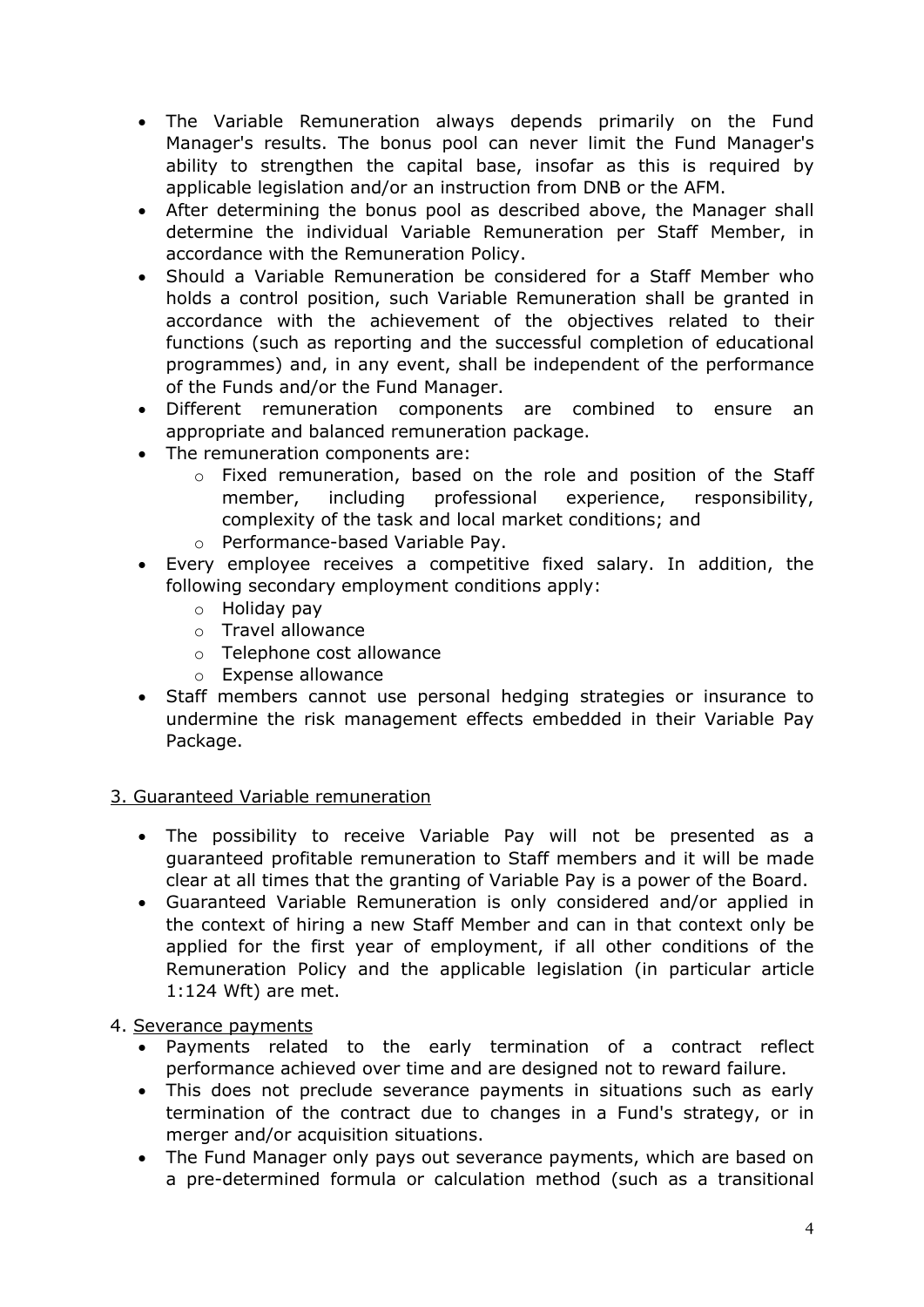- The Variable Remuneration always depends primarily on the Fund Manager's results. The bonus pool can never limit the Fund Manager's ability to strengthen the capital base, insofar as this is required by applicable legislation and/or an instruction from DNB or the AFM.
- After determining the bonus pool as described above, the Manager shall determine the individual Variable Remuneration per Staff Member, in accordance with the Remuneration Policy.
- Should a Variable Remuneration be considered for a Staff Member who holds a control position, such Variable Remuneration shall be granted in accordance with the achievement of the objectives related to their functions (such as reporting and the successful completion of educational programmes) and, in any event, shall be independent of the performance of the Funds and/or the Fund Manager.
- Different remuneration components are combined to ensure an appropriate and balanced remuneration package.
- The remuneration components are:
	- o Fixed remuneration, based on the role and position of the Staff member, including professional experience, responsibility, complexity of the task and local market conditions; and
	- o Performance-based Variable Pay.
- Every employee receives a competitive fixed salary. In addition, the following secondary employment conditions apply:
	- o Holiday pay
	- o Travel allowance
	- o Telephone cost allowance
	- o Expense allowance
- Staff members cannot use personal hedging strategies or insurance to undermine the risk management effects embedded in their Variable Pay Package.

#### 3. Guaranteed Variable remuneration

- The possibility to receive Variable Pay will not be presented as a guaranteed profitable remuneration to Staff members and it will be made clear at all times that the granting of Variable Pay is a power of the Board.
- Guaranteed Variable Remuneration is only considered and/or applied in the context of hiring a new Staff Member and can in that context only be applied for the first year of employment, if all other conditions of the Remuneration Policy and the applicable legislation (in particular article 1:124 Wft) are met.

## 4. Severance payments

- Payments related to the early termination of a contract reflect performance achieved over time and are designed not to reward failure.
- This does not preclude severance payments in situations such as early termination of the contract due to changes in a Fund's strategy, or in merger and/or acquisition situations.
- The Fund Manager only pays out severance payments, which are based on a pre-determined formula or calculation method (such as a transitional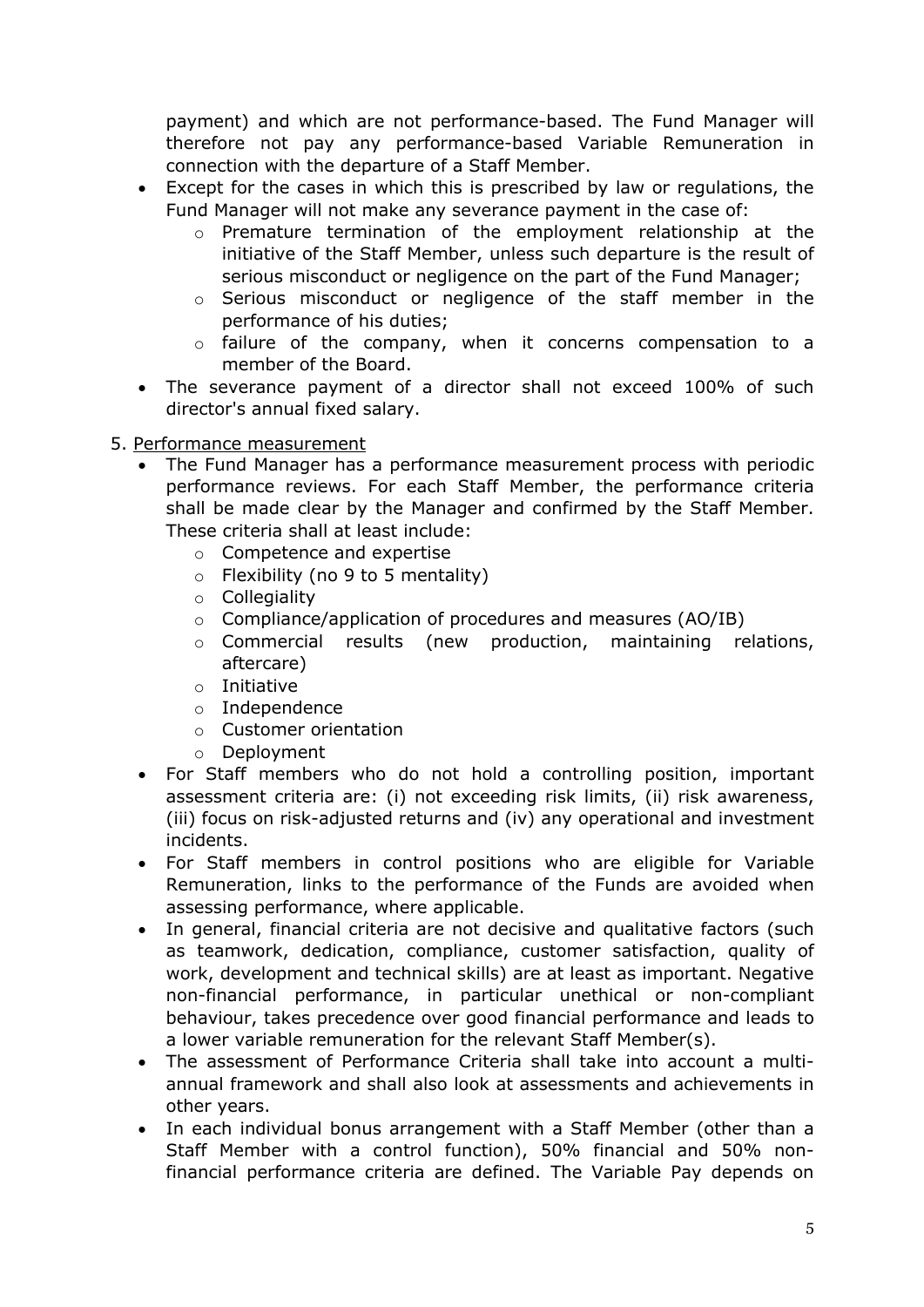payment) and which are not performance-based. The Fund Manager will therefore not pay any performance-based Variable Remuneration in connection with the departure of a Staff Member.

- Except for the cases in which this is prescribed by law or regulations, the Fund Manager will not make any severance payment in the case of:
	- o Premature termination of the employment relationship at the initiative of the Staff Member, unless such departure is the result of serious misconduct or negligence on the part of the Fund Manager;
	- o Serious misconduct or negligence of the staff member in the performance of his duties;
	- o failure of the company, when it concerns compensation to a member of the Board.
- The severance payment of a director shall not exceed 100% of such director's annual fixed salary.
- 5. Performance measurement
	- The Fund Manager has a performance measurement process with periodic performance reviews. For each Staff Member, the performance criteria shall be made clear by the Manager and confirmed by the Staff Member. These criteria shall at least include:
		- o Competence and expertise
		- $\circ$  Flexibility (no 9 to 5 mentality)
		- o Collegiality
		- o Compliance/application of procedures and measures (AO/IB)
		- o Commercial results (new production, maintaining relations, aftercare)
		- o Initiative
		- o Independence
		- o Customer orientation
		- o Deployment
	- For Staff members who do not hold a controlling position, important assessment criteria are: (i) not exceeding risk limits, (ii) risk awareness, (iii) focus on risk-adjusted returns and (iv) any operational and investment incidents.
	- For Staff members in control positions who are eligible for Variable Remuneration, links to the performance of the Funds are avoided when assessing performance, where applicable.
	- In general, financial criteria are not decisive and qualitative factors (such as teamwork, dedication, compliance, customer satisfaction, quality of work, development and technical skills) are at least as important. Negative non-financial performance, in particular unethical or non-compliant behaviour, takes precedence over good financial performance and leads to a lower variable remuneration for the relevant Staff Member(s).
	- The assessment of Performance Criteria shall take into account a multiannual framework and shall also look at assessments and achievements in other years.
	- In each individual bonus arrangement with a Staff Member (other than a Staff Member with a control function), 50% financial and 50% nonfinancial performance criteria are defined. The Variable Pay depends on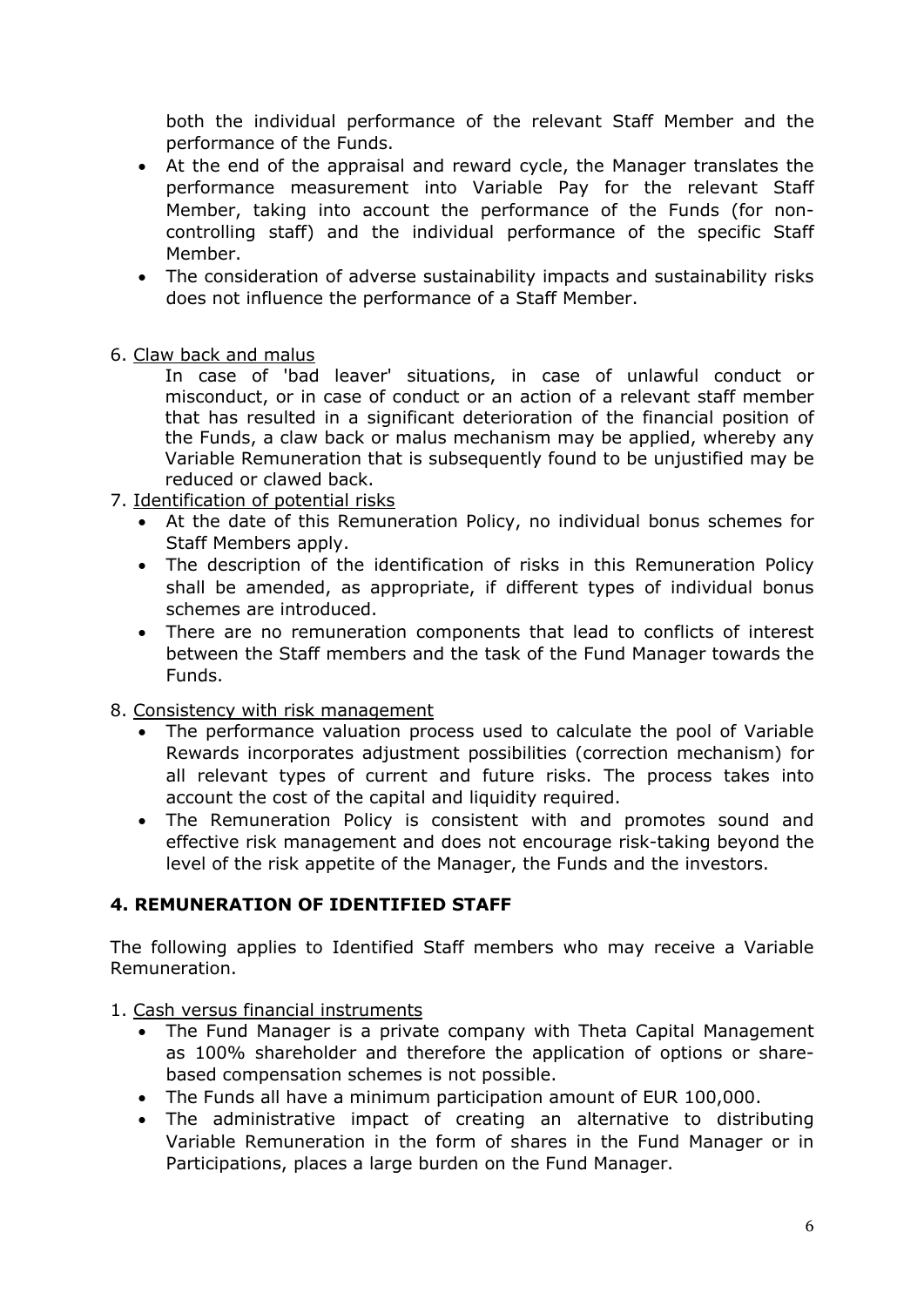both the individual performance of the relevant Staff Member and the performance of the Funds.

- At the end of the appraisal and reward cycle, the Manager translates the performance measurement into Variable Pay for the relevant Staff Member, taking into account the performance of the Funds (for noncontrolling staff) and the individual performance of the specific Staff Member.
- The consideration of adverse sustainability impacts and sustainability risks does not influence the performance of a Staff Member.
- 6. Claw back and malus

In case of 'bad leaver' situations, in case of unlawful conduct or misconduct, or in case of conduct or an action of a relevant staff member that has resulted in a significant deterioration of the financial position of the Funds, a claw back or malus mechanism may be applied, whereby any Variable Remuneration that is subsequently found to be unjustified may be reduced or clawed back.

- 7. Identification of potential risks
	- At the date of this Remuneration Policy, no individual bonus schemes for Staff Members apply.
	- The description of the identification of risks in this Remuneration Policy shall be amended, as appropriate, if different types of individual bonus schemes are introduced.
	- There are no remuneration components that lead to conflicts of interest between the Staff members and the task of the Fund Manager towards the Funds.

#### 8. Consistency with risk management

- The performance valuation process used to calculate the pool of Variable Rewards incorporates adjustment possibilities (correction mechanism) for all relevant types of current and future risks. The process takes into account the cost of the capital and liquidity required.
- The Remuneration Policy is consistent with and promotes sound and effective risk management and does not encourage risk-taking beyond the level of the risk appetite of the Manager, the Funds and the investors.

## **4. REMUNERATION OF IDENTIFIED STAFF**

The following applies to Identified Staff members who may receive a Variable Remuneration.

#### 1. Cash versus financial instruments

- The Fund Manager is a private company with Theta Capital Management as 100% shareholder and therefore the application of options or sharebased compensation schemes is not possible.
- The Funds all have a minimum participation amount of EUR 100,000.
- The administrative impact of creating an alternative to distributing Variable Remuneration in the form of shares in the Fund Manager or in Participations, places a large burden on the Fund Manager.